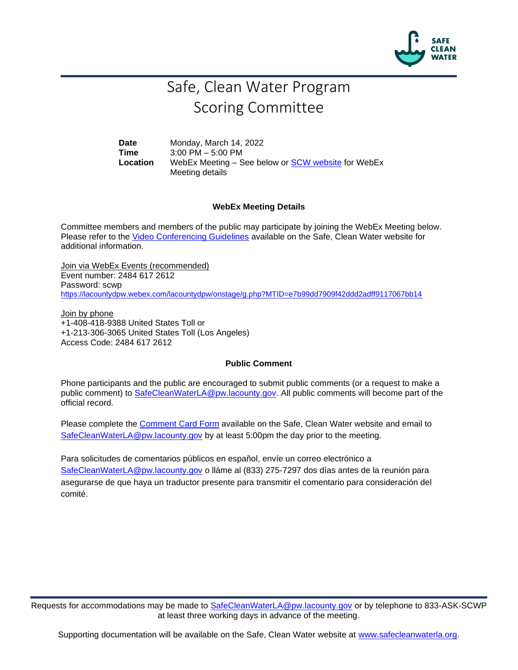

## Safe, Clean Water Program Scoring Committee

**Date** Monday, March 14, 2022 **Time** 3:00 PM – 5:00 PM Location WebEx Meeting – See below or **SCW** website for WebEx Meeting details

## **WebEx Meeting Details**

Committee members and members of the public may participate by joining the WebEx Meeting below. Please refer to the [Video Conferencing Guidelines](https://safecleanwaterla.org/video-conference-guidelines/) available on the Safe, Clean Water website for additional information.

Join via WebEx Events (recommended) Event number: 2484 617 2612 Password: scwp <https://lacountydpw.webex.com/lacountydpw/onstage/g.php?MTID=e7b99dd7909f42ddd2adff9117067bb14>

Join by phone +1-408-418-9388 United States Toll or +1-213-306-3065 United States Toll (Los Angeles) Access Code: 2484 617 2612

## **Public Comment**

Phone participants and the public are encouraged to submit public comments (or a request to make a public comment) to [SafeCleanWaterLA@pw.lacounty.gov.](mailto:SafeCleanWaterLA@pw.lacounty.gov) All public comments will become part of the official record.

Please complete the Comment [Card Form](https://safecleanwaterla.org/wp-content/uploads/2020/04/Comment-Card-Form.pdf) available on the Safe, Clean Water website and email to [SafeCleanWaterLA@pw.lacounty.gov](mailto:SafeCleanWaterLA@pw.lacounty.govb) by at least 5:00pm the day prior to the meeting.

Para solicitudes de comentarios públicos en español, envíe un correo electrónico a [SafeCleanWaterLA@pw.lacounty.gov](mailto:SafeCleanWaterLA@pw.lacounty.gov) o lláme al (833) 275-7297 dos días antes de la reunión para asegurarse de que haya un traductor presente para transmitir el comentario para consideración del comité.

Requests for accommodations may be made to [SafeCleanWaterLA@pw.lacounty.gov](mailto:SafeCleanWaterLA@pw.lacounty.gov) or by telephone to 833-ASK-SCWP at least three working days in advance of the meeting.

Supporting documentation will be available on the Safe, Clean Water website at [www.safecleanwaterla.org.](http://www.safecleanwaterla.org/)